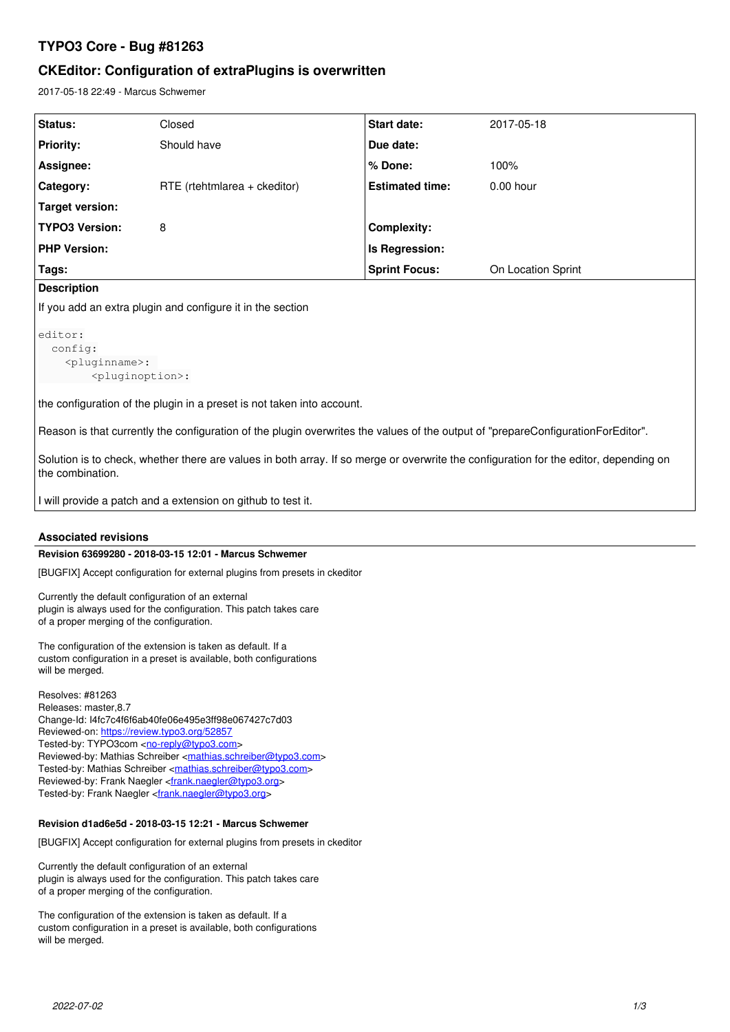# **TYPO3 Core - Bug #81263**

# **CKEditor: Configuration of extraPlugins is overwritten**

2017-05-18 22:49 - Marcus Schwemer

| Status:               | Closed                         | Start date:            | 2017-05-18         |
|-----------------------|--------------------------------|------------------------|--------------------|
| <b>Priority:</b>      | Should have                    | Due date:              |                    |
| Assignee:             |                                | % Done:                | 100%               |
| Category:             | $RTE$ (rtehtmlarea + ckeditor) | <b>Estimated time:</b> | $0.00$ hour        |
| Target version:       |                                |                        |                    |
| <b>TYPO3 Version:</b> | 8                              | <b>Complexity:</b>     |                    |
| <b>PHP Version:</b>   |                                | Is Regression:         |                    |
| Tags:                 |                                | <b>Sprint Focus:</b>   | On Location Sprint |
|                       |                                |                        |                    |

## **Description**

If you add an extra plugin and configure it in the section

```
editor:
config:
     <pluginname>: 
               <pluginoption>:
```
the configuration of the plugin in a preset is not taken into account.

Reason is that currently the configuration of the plugin overwrites the values of the output of "prepareConfigurationForEditor".

Solution is to check, whether there are values in both array. If so merge or overwrite the configuration for the editor, depending on the combination.

I will provide a patch and a extension on github to test it.

## **Associated revisions**

## **Revision 63699280 - 2018-03-15 12:01 - Marcus Schwemer**

[BUGFIX] Accept configuration for external plugins from presets in ckeditor

Currently the default configuration of an external plugin is always used for the configuration. This patch takes care of a proper merging of the configuration.

The configuration of the extension is taken as default. If a custom configuration in a preset is available, both configurations will be merged.

Resolves: #81263 Releases: master,8.7 Change-Id: I4fc7c4f6f6ab40fe06e495e3ff98e067427c7d03 Reviewed-on:<https://review.typo3.org/52857> Tested-by: TYPO3com [<no-reply@typo3.com](mailto:no-reply@typo3.com)> Reviewed-by: Mathias Schreiber <**mathias.schreiber@typo3.com**> Tested-by: Mathias Schreiber <[mathias.schreiber@typo3.com>](mailto:mathias.schreiber@typo3.com) Reviewed-by: Frank Naegler <*frank.naegler@typo3.org>* Tested-by: Frank Naegler <[frank.naegler@typo3.org>](mailto:frank.naegler@typo3.org)

### **Revision d1ad6e5d - 2018-03-15 12:21 - Marcus Schwemer**

[BUGFIX] Accept configuration for external plugins from presets in ckeditor

Currently the default configuration of an external plugin is always used for the configuration. This patch takes care of a proper merging of the configuration.

The configuration of the extension is taken as default. If a custom configuration in a preset is available, both configurations will be merged.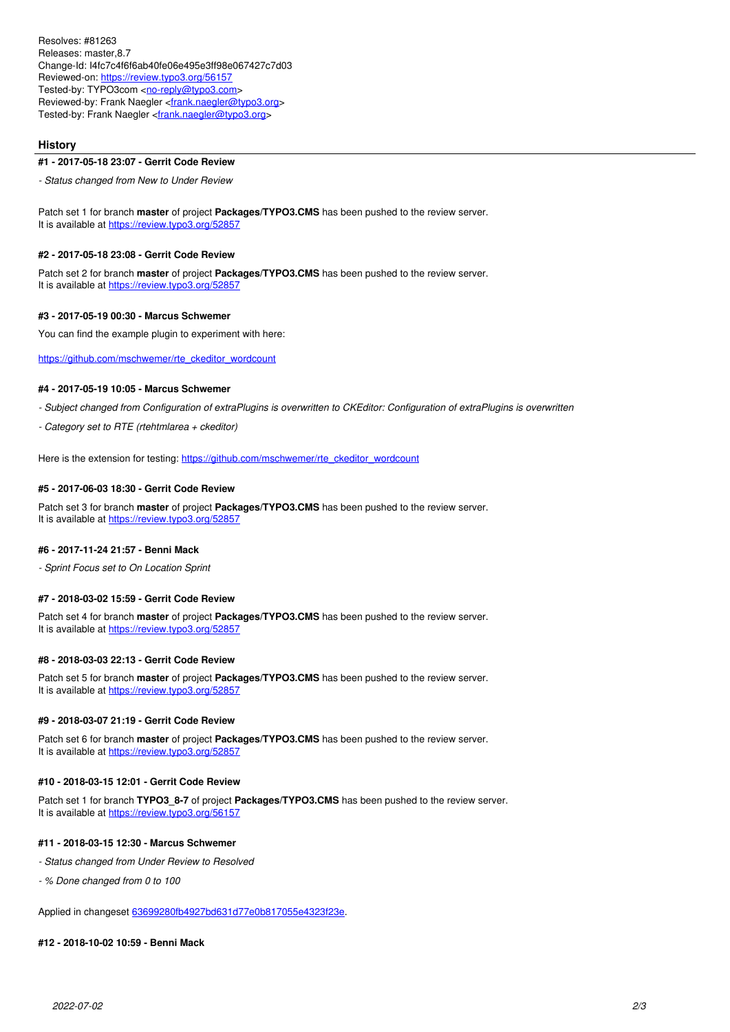Resolves: #81263 Releases: master,8.7 Change-Id: I4fc7c4f6f6ab40fe06e495e3ff98e067427c7d03 Reviewed-on:<https://review.typo3.org/56157> Tested-by: TYPO3com [<no-reply@typo3.com](mailto:no-reply@typo3.com)> Reviewed-by: Frank Naegler <*frank.naegler@typo3.org>* Tested-by: Frank Naegler <*[frank.naegler@typo3.org>](mailto:frank.naegler@typo3.org)* 

## **History**

#### **#1 - 2017-05-18 23:07 - Gerrit Code Review**

*- Status changed from New to Under Review*

Patch set 1 for branch **master** of project **Packages/TYPO3.CMS** has been pushed to the review server. It is available at <https://review.typo3.org/52857>

### **#2 - 2017-05-18 23:08 - Gerrit Code Review**

Patch set 2 for branch **master** of project **Packages/TYPO3.CMS** has been pushed to the review server. It is available at <https://review.typo3.org/52857>

#### **#3 - 2017-05-19 00:30 - Marcus Schwemer**

You can find the example plugin to experiment with here:

[https://github.com/mschwemer/rte\\_ckeditor\\_wordcount](https://github.com/mschwemer/rte_ckeditor_wordcount)

### **#4 - 2017-05-19 10:05 - Marcus Schwemer**

*- Subject changed from Configuration of extraPlugins is overwritten to CKEditor: Configuration of extraPlugins is overwritten*

*- Category set to RTE (rtehtmlarea + ckeditor)*

Here is the extension for testing: [https://github.com/mschwemer/rte\\_ckeditor\\_wordcount](https://github.com/mschwemer/rte_ckeditor_wordcount)

#### **#5 - 2017-06-03 18:30 - Gerrit Code Review**

Patch set 3 for branch **master** of project **Packages/TYPO3.CMS** has been pushed to the review server. It is available at <https://review.typo3.org/52857>

#### **#6 - 2017-11-24 21:57 - Benni Mack**

*- Sprint Focus set to On Location Sprint*

#### **#7 - 2018-03-02 15:59 - Gerrit Code Review**

Patch set 4 for branch **master** of project **Packages/TYPO3.CMS** has been pushed to the review server. It is available at <https://review.typo3.org/52857>

#### **#8 - 2018-03-03 22:13 - Gerrit Code Review**

Patch set 5 for branch **master** of project **Packages/TYPO3.CMS** has been pushed to the review server. It is available at <https://review.typo3.org/52857>

#### **#9 - 2018-03-07 21:19 - Gerrit Code Review**

Patch set 6 for branch **master** of project **Packages/TYPO3.CMS** has been pushed to the review server. It is available at <https://review.typo3.org/52857>

#### **#10 - 2018-03-15 12:01 - Gerrit Code Review**

Patch set 1 for branch **TYPO3\_8-7** of project **Packages/TYPO3.CMS** has been pushed to the review server. It is available at <https://review.typo3.org/56157>

#### **#11 - 2018-03-15 12:30 - Marcus Schwemer**

- *Status changed from Under Review to Resolved*
- *% Done changed from 0 to 100*

Applied in changeset [63699280fb4927bd631d77e0b817055e4323f23e](https://forge.typo3.org/projects/typo3cms-core/repository/1749/revisions/63699280fb4927bd631d77e0b817055e4323f23e).

#### **#12 - 2018-10-02 10:59 - Benni Mack**